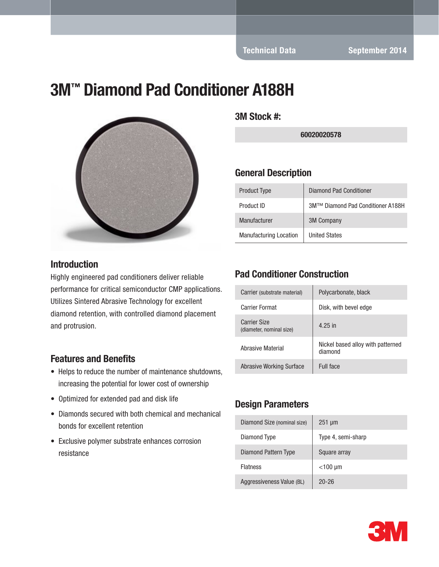# 3M™ Diamond Pad Conditioner A188H



#### **Introduction**

Highly engineered pad conditioners deliver reliable performance for critical semiconductor CMP applications. Utilizes Sintered Abrasive Technology for excellent diamond retention, with controlled diamond placement and protrusion.

#### Features and Benefits

- Helps to reduce the number of maintenance shutdowns, increasing the potential for lower cost of ownership
- Optimized for extended pad and disk life
- Diamonds secured with both chemical and mechanical bonds for excellent retention
- Exclusive polymer substrate enhances corrosion resistance

3M Stock #:

60020020578

#### General Description

| <b>Product Type</b>           | <b>Diamond Pad Conditioner</b>    |
|-------------------------------|-----------------------------------|
| Product ID                    | 3M™ Diamond Pad Conditioner A188H |
| Manufacturer                  | <b>3M Company</b>                 |
| <b>Manufacturing Location</b> | <b>United States</b>              |

#### Pad Conditioner Construction

| Carrier (substrate material)                    | Polycarbonate, black                         |
|-------------------------------------------------|----------------------------------------------|
| Carrier Format                                  | Disk, with bevel edge                        |
| <b>Carrier Size</b><br>(diameter, nominal size) | 4.25 in                                      |
| Abrasive Material                               | Nickel based alloy with patterned<br>diamond |
| Abrasive Working Surface                        | Full face                                    |

#### Design Parameters

| Diamond Size (nominal size) | $251 \mu m$        |
|-----------------------------|--------------------|
| Diamond Type                | Type 4, semi-sharp |
| Diamond Pattern Type        | Square array       |
| <b>Flatness</b>             | $<$ 100 µm         |
| Aggressiveness Value (BL)   | $20 - 26$          |